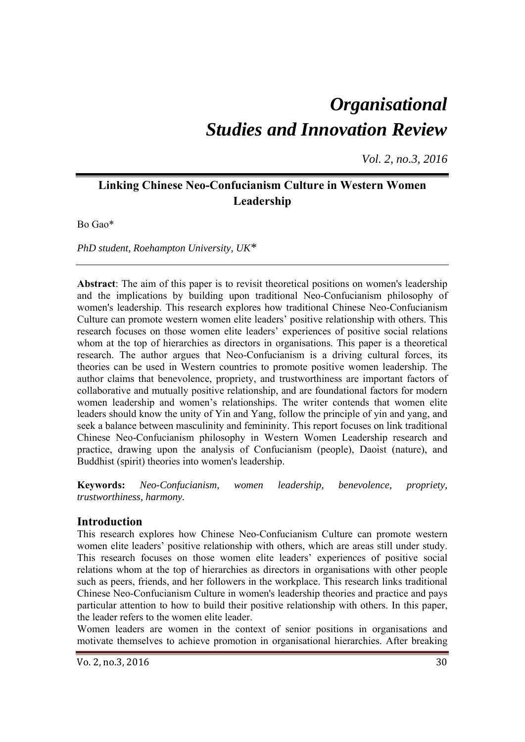# *Organisational Studies and Innovation Review*

*Vol. 2, no.3, 2016*

# **Linking Chinese Neo-Confucianism Culture in Western Women Leadership**

Bo Gao\*

*PhD student, Roehampton University, UK\** 

**Abstract**: The aim of this paper is to revisit theoretical positions on women's leadership and the implications by building upon traditional Neo-Confucianism philosophy of women's leadership. This research explores how traditional Chinese Neo-Confucianism Culture can promote western women elite leaders' positive relationship with others. This research focuses on those women elite leaders' experiences of positive social relations whom at the top of hierarchies as directors in organisations. This paper is a theoretical research. The author argues that Neo-Confucianism is a driving cultural forces, its theories can be used in Western countries to promote positive women leadership. The author claims that benevolence, propriety, and trustworthiness are important factors of collaborative and mutually positive relationship, and are foundational factors for modern women leadership and women's relationships. The writer contends that women elite leaders should know the unity of Yin and Yang, follow the principle of yin and yang, and seek a balance between masculinity and femininity. This report focuses on link traditional Chinese Neo-Confucianism philosophy in Western Women Leadership research and practice, drawing upon the analysis of Confucianism (people), Daoist (nature), and Buddhist (spirit) theories into women's leadership.

**Keywords:** *Neo-Confucianism, women leadership, benevolence, propriety, trustworthiness, harmony.* 

### **Introduction**

This research explores how Chinese Neo-Confucianism Culture can promote western women elite leaders' positive relationship with others, which are areas still under study. This research focuses on those women elite leaders' experiences of positive social relations whom at the top of hierarchies as directors in organisations with other people such as peers, friends, and her followers in the workplace. This research links traditional Chinese Neo-Confucianism Culture in women's leadership theories and practice and pays particular attention to how to build their positive relationship with others. In this paper, the leader refers to the women elite leader.

Women leaders are women in the context of senior positions in organisations and motivate themselves to achieve promotion in organisational hierarchies. After breaking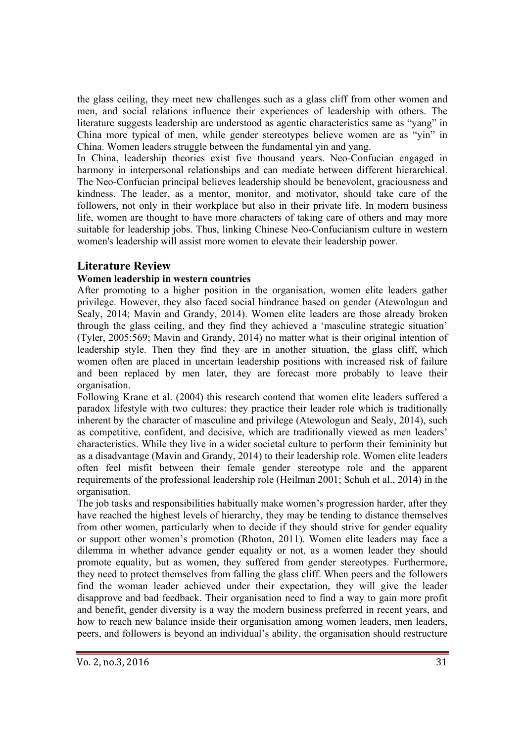the glass ceiling, they meet new challenges such as a glass cliff from other women and men, and social relations influence their experiences of leadership with others. The literature suggests leadership are understood as agentic characteristics same as "yang" in China more typical of men, while gender stereotypes believe women are as "yin" in China. Women leaders struggle between the fundamental yin and yang.

In China, leadership theories exist five thousand years. Neo-Confucian engaged in harmony in interpersonal relationships and can mediate between different hierarchical. The Neo-Confucian principal believes leadership should be benevolent, graciousness and kindness. The leader, as a mentor, monitor, and motivator, should take care of the followers, not only in their workplace but also in their private life. In modern business life, women are thought to have more characters of taking care of others and may more suitable for leadership jobs. Thus, linking Chinese Neo-Confucianism culture in western women's leadership will assist more women to elevate their leadership power.

# **Literature Review**

#### **Women leadership in western countries**

After promoting to a higher position in the organisation, women elite leaders gather privilege. However, they also faced social hindrance based on gender (Atewologun and Sealy, 2014; Mavin and Grandy, 2014). Women elite leaders are those already broken through the glass ceiling, and they find they achieved a 'masculine strategic situation' (Tyler, 2005:569; Mavin and Grandy, 2014) no matter what is their original intention of leadership style. Then they find they are in another situation, the glass cliff, which women often are placed in uncertain leadership positions with increased risk of failure and been replaced by men later, they are forecast more probably to leave their organisation.

Following Krane et al. (2004) this research contend that women elite leaders suffered a paradox lifestyle with two cultures: they practice their leader role which is traditionally inherent by the character of masculine and privilege (Atewologun and Sealy, 2014), such as competitive, confident, and decisive, which are traditionally viewed as men leaders' characteristics. While they live in a wider societal culture to perform their femininity but as a disadvantage (Mavin and Grandy, 2014) to their leadership role. Women elite leaders often feel misfit between their female gender stereotype role and the apparent requirements of the professional leadership role (Heilman 2001; Schuh et al., 2014) in the organisation.

The job tasks and responsibilities habitually make women's progression harder, after they have reached the highest levels of hierarchy, they may be tending to distance themselves from other women, particularly when to decide if they should strive for gender equality or support other women's promotion (Rhoton, 2011). Women elite leaders may face a dilemma in whether advance gender equality or not, as a women leader they should promote equality, but as women, they suffered from gender stereotypes. Furthermore, they need to protect themselves from falling the glass cliff. When peers and the followers find the woman leader achieved under their expectation, they will give the leader disapprove and bad feedback. Their organisation need to find a way to gain more profit and benefit, gender diversity is a way the modern business preferred in recent years, and how to reach new balance inside their organisation among women leaders, men leaders, peers, and followers is beyond an individual's ability, the organisation should restructure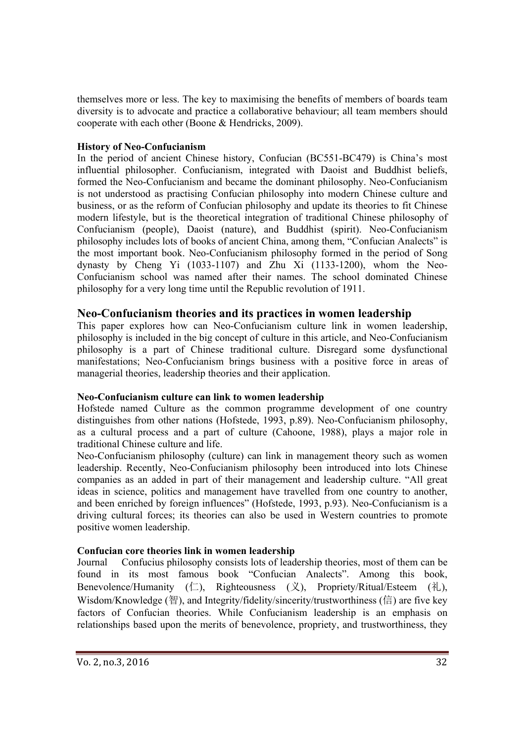themselves more or less. The key to maximising the benefits of members of boards team diversity is to advocate and practice a collaborative behaviour; all team members should cooperate with each other (Boone & Hendricks, 2009).

#### **History of Neo-Confucianism**

In the period of ancient Chinese history, Confucian (BC551-BC479) is China's most influential philosopher. Confucianism, integrated with Daoist and Buddhist beliefs, formed the Neo-Confucianism and became the dominant philosophy. Neo-Confucianism is not understood as practising Confucian philosophy into modern Chinese culture and business, or as the reform of Confucian philosophy and update its theories to fit Chinese modern lifestyle, but is the theoretical integration of traditional Chinese philosophy of Confucianism (people), Daoist (nature), and Buddhist (spirit). Neo-Confucianism philosophy includes lots of books of ancient China, among them, "Confucian Analects" is the most important book. Neo-Confucianism philosophy formed in the period of Song dynasty by Cheng Yi (1033-1107) and Zhu Xi (1133-1200), whom the Neo-Confucianism school was named after their names. The school dominated Chinese philosophy for a very long time until the Republic revolution of 1911.

## **Neo-Confucianism theories and its practices in women leadership**

This paper explores how can Neo-Confucianism culture link in women leadership, philosophy is included in the big concept of culture in this article, and Neo-Confucianism philosophy is a part of Chinese traditional culture. Disregard some dysfunctional manifestations; Neo-Confucianism brings business with a positive force in areas of managerial theories, leadership theories and their application.

### **Neo-Confucianism culture can link to women leadership**

Hofstede named Culture as the common programme development of one country distinguishes from other nations (Hofstede, 1993, p.89). Neo-Confucianism philosophy, as a cultural process and a part of culture (Cahoone, 1988), plays a major role in traditional Chinese culture and life.

Neo-Confucianism philosophy (culture) can link in management theory such as women leadership. Recently, Neo-Confucianism philosophy been introduced into lots Chinese companies as an added in part of their management and leadership culture. "All great ideas in science, politics and management have travelled from one country to another, and been enriched by foreign influences" (Hofstede, 1993, p.93). Neo-Confucianism is a driving cultural forces; its theories can also be used in Western countries to promote positive women leadership.

### **Confucian core theories link in women leadership**

Journal Confucius philosophy consists lots of leadership theories, most of them can be found in its most famous book "Confucian Analects". Among this book, Benevolence/Humanity  $(\Box)$ , Righteousness  $(\Diamond)$ , Propriety/Ritual/Esteem  $(\Diamond)$ , Wisdom/Knowledge (智), and Integrity/fidelity/sincerity/trustworthiness (信) are five key factors of Confucian theories. While Confucianism leadership is an emphasis on relationships based upon the merits of benevolence, propriety, and trustworthiness, they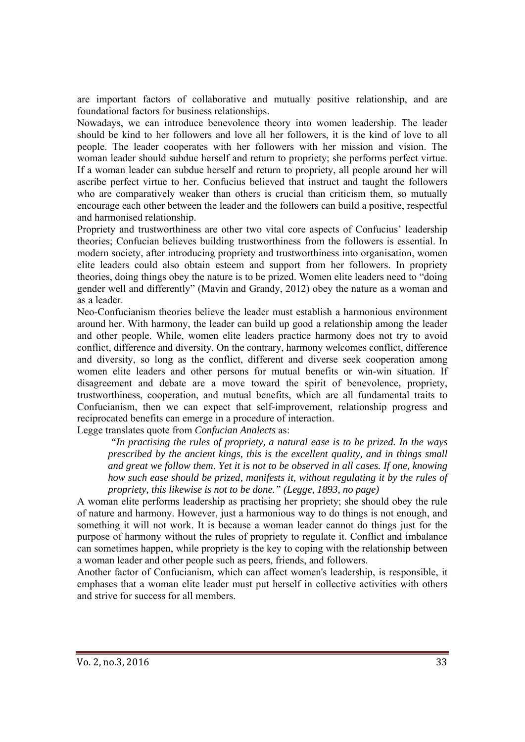are important factors of collaborative and mutually positive relationship, and are foundational factors for business relationships.

Nowadays, we can introduce benevolence theory into women leadership. The leader should be kind to her followers and love all her followers, it is the kind of love to all people. The leader cooperates with her followers with her mission and vision. The woman leader should subdue herself and return to propriety; she performs perfect virtue. If a woman leader can subdue herself and return to propriety, all people around her will ascribe perfect virtue to her. Confucius believed that instruct and taught the followers who are comparatively weaker than others is crucial than criticism them, so mutually encourage each other between the leader and the followers can build a positive, respectful and harmonised relationship.

Propriety and trustworthiness are other two vital core aspects of Confucius' leadership theories; Confucian believes building trustworthiness from the followers is essential. In modern society, after introducing propriety and trustworthiness into organisation, women elite leaders could also obtain esteem and support from her followers. In propriety theories, doing things obey the nature is to be prized. Women elite leaders need to "doing gender well and differently" (Mavin and Grandy, 2012) obey the nature as a woman and as a leader.

Neo-Confucianism theories believe the leader must establish a harmonious environment around her. With harmony, the leader can build up good a relationship among the leader and other people. While, women elite leaders practice harmony does not try to avoid conflict, difference and diversity. On the contrary, harmony welcomes conflict, difference and diversity, so long as the conflict, different and diverse seek cooperation among women elite leaders and other persons for mutual benefits or win-win situation. If disagreement and debate are a move toward the spirit of benevolence, propriety, trustworthiness, cooperation, and mutual benefits, which are all fundamental traits to Confucianism, then we can expect that self-improvement, relationship progress and reciprocated benefits can emerge in a procedure of interaction.

Legge translates quote from *Confucian Analects* as:

 *"In practising the rules of propriety, a natural ease is to be prized. In the ways prescribed by the ancient kings, this is the excellent quality, and in things small and great we follow them. Yet it is not to be observed in all cases. If one, knowing how such ease should be prized, manifests it, without regulating it by the rules of propriety, this likewise is not to be done." (Legge, 1893, no page)* 

A woman elite performs leadership as practising her propriety; she should obey the rule of nature and harmony. However, just a harmonious way to do things is not enough, and something it will not work. It is because a woman leader cannot do things just for the purpose of harmony without the rules of propriety to regulate it. Conflict and imbalance can sometimes happen, while propriety is the key to coping with the relationship between a woman leader and other people such as peers, friends, and followers.

Another factor of Confucianism, which can affect women's leadership, is responsible, it emphases that a woman elite leader must put herself in collective activities with others and strive for success for all members.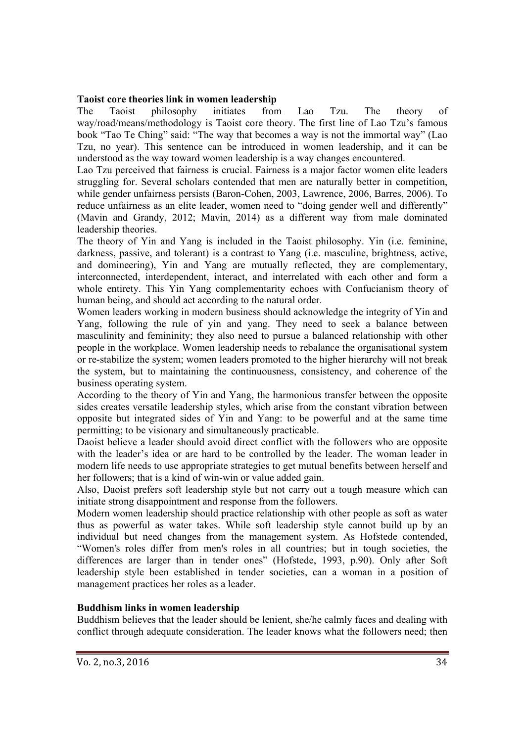#### **Taoist core theories link in women leadership**

The Taoist philosophy initiates from Lao Tzu. The theory of way/road/means/methodology is Taoist core theory. The first line of Lao Tzu's famous book "Tao Te Ching" said: "The way that becomes a way is not the immortal way" (Lao Tzu, no year). This sentence can be introduced in women leadership, and it can be understood as the way toward women leadership is a way changes encountered.

Lao Tzu perceived that fairness is crucial. Fairness is a major factor women elite leaders struggling for. Several scholars contended that men are naturally better in competition, while gender unfairness persists (Baron-Cohen, 2003, Lawrence, 2006, Barres, 2006). To reduce unfairness as an elite leader, women need to "doing gender well and differently" (Mavin and Grandy, 2012; Mavin, 2014) as a different way from male dominated leadership theories.

The theory of Yin and Yang is included in the Taoist philosophy. Yin (i.e. feminine, darkness, passive, and tolerant) is a contrast to Yang (i.e. masculine, brightness, active, and domineering), Yin and Yang are mutually reflected, they are complementary, interconnected, interdependent, interact, and interrelated with each other and form a whole entirety. This Yin Yang complementarity echoes with Confucianism theory of human being, and should act according to the natural order.

Women leaders working in modern business should acknowledge the integrity of Yin and Yang, following the rule of yin and yang. They need to seek a balance between masculinity and femininity; they also need to pursue a balanced relationship with other people in the workplace. Women leadership needs to rebalance the organisational system or re-stabilize the system; women leaders promoted to the higher hierarchy will not break the system, but to maintaining the continuousness, consistency, and coherence of the business operating system.

According to the theory of Yin and Yang, the harmonious transfer between the opposite sides creates versatile leadership styles, which arise from the constant vibration between opposite but integrated sides of Yin and Yang: to be powerful and at the same time permitting; to be visionary and simultaneously practicable.

Daoist believe a leader should avoid direct conflict with the followers who are opposite with the leader's idea or are hard to be controlled by the leader. The woman leader in modern life needs to use appropriate strategies to get mutual benefits between herself and her followers; that is a kind of win-win or value added gain.

Also, Daoist prefers soft leadership style but not carry out a tough measure which can initiate strong disappointment and response from the followers.

Modern women leadership should practice relationship with other people as soft as water thus as powerful as water takes. While soft leadership style cannot build up by an individual but need changes from the management system. As Hofstede contended, "Women's roles differ from men's roles in all countries; but in tough societies, the differences are larger than in tender ones" (Hofstede, 1993, p.90). Only after Soft leadership style been established in tender societies, can a woman in a position of management practices her roles as a leader.

#### **Buddhism links in women leadership**

Buddhism believes that the leader should be lenient, she/he calmly faces and dealing with conflict through adequate consideration. The leader knows what the followers need; then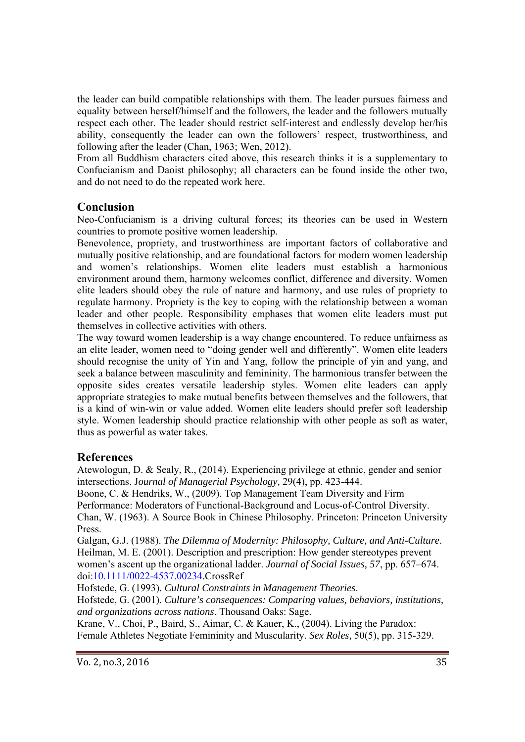the leader can build compatible relationships with them. The leader pursues fairness and equality between herself/himself and the followers, the leader and the followers mutually respect each other. The leader should restrict self-interest and endlessly develop her/his ability, consequently the leader can own the followers' respect, trustworthiness, and following after the leader (Chan, 1963; Wen, 2012).

From all Buddhism characters cited above, this research thinks it is a supplementary to Confucianism and Daoist philosophy; all characters can be found inside the other two, and do not need to do the repeated work here.

### **Conclusion**

Neo-Confucianism is a driving cultural forces; its theories can be used in Western countries to promote positive women leadership.

Benevolence, propriety, and trustworthiness are important factors of collaborative and mutually positive relationship, and are foundational factors for modern women leadership and women's relationships. Women elite leaders must establish a harmonious environment around them, harmony welcomes conflict, difference and diversity. Women elite leaders should obey the rule of nature and harmony, and use rules of propriety to regulate harmony. Propriety is the key to coping with the relationship between a woman leader and other people. Responsibility emphases that women elite leaders must put themselves in collective activities with others.

The way toward women leadership is a way change encountered. To reduce unfairness as an elite leader, women need to "doing gender well and differently". Women elite leaders should recognise the unity of Yin and Yang, follow the principle of yin and yang, and seek a balance between masculinity and femininity. The harmonious transfer between the opposite sides creates versatile leadership styles. Women elite leaders can apply appropriate strategies to make mutual benefits between themselves and the followers, that is a kind of win-win or value added. Women elite leaders should prefer soft leadership style. Women leadership should practice relationship with other people as soft as water, thus as powerful as water takes.

### **References**

Atewologun, D. & Sealy, R., (2014). Experiencing privilege at ethnic, gender and senior intersections. J*ournal of Managerial Psychology,* 29(4), pp. 423-444.

Boone, C. & Hendriks, W., (2009). Top Management Team Diversity and Firm Performance: Moderators of Functional-Background and Locus-of-Control Diversity. Chan, W. (1963). A Source Book in Chinese Philosophy. Princeton: Princeton University Press.

Galgan, G.J. (1988). *The Dilemma of Modernity: Philosophy, Culture, and Anti-Culture*. Heilman, M. E. (2001). Description and prescription: How gender stereotypes prevent women's ascent up the organizational ladder. *Journal of Social Issues, 57*, pp. 657–674. doi:10.1111/0022-4537.00234.CrossRef

Hofstede, G. (1993). *Cultural Constraints in Management Theories*.

Hofstede, G. (2001). *Culture's consequences: Comparing values, behaviors, institutions, and organizations across nations*. Thousand Oaks: Sage.

Krane, V., Choi, P., Baird, S., Aimar, C. & Kauer, K., (2004). Living the Paradox: Female Athletes Negotiate Femininity and Muscularity. *Sex Roles,* 50(5), pp. 315-329.